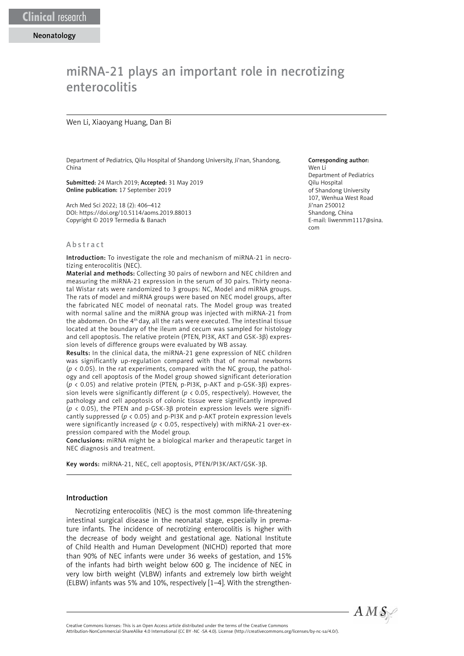# miRNA-21 plays an important role in necrotizing enterocolitis

#### Wen Li, Xiaoyang Huang, Dan Bi

Department of Pediatrics, Qilu Hospital of Shandong University, Ji'nan, Shandong, China

Submitted: 24 March 2019; Accepted: 31 May 2019 Online publication: 17 September 2019

Arch Med Sci 2022; 18 (2): 406–412 DOI: https://doi.org/10.5114/aoms.2019.88013 Copyright © 2019 Termedia & Banach

#### A b s t r a c t

Introduction: To investigate the role and mechanism of miRNA-21 in necrotizing enterocolitis (NEC).

Material and methods: Collecting 30 pairs of newborn and NEC children and measuring the miRNA-21 expression in the serum of 30 pairs. Thirty neonatal Wistar rats were randomized to 3 groups: NC, Model and miRNA groups. The rats of model and miRNA groups were based on NEC model groups, after the fabricated NEC model of neonatal rats. The Model group was treated with normal saline and the miRNA group was injected with miRNA-21 from the abdomen. On the 4th day, all the rats were executed. The intestinal tissue located at the boundary of the ileum and cecum was sampled for histology and cell apoptosis. The relative protein (PTEN, PI3K, AKT and GSK-3β) expression levels of difference groups were evaluated by WB assay.

Results: In the clinical data, the miRNA-21 gene expression of NEC children was significantly up-regulation compared with that of normal newborns (*p* < 0.05). In the rat experiments, compared with the NC group, the pathology and cell apoptosis of the Model group showed significant deterioration (*p* < 0.05) and relative protein (PTEN, p-PI3K, p-AKT and p-GSK-3β) expression levels were significantly different ( $p < 0.05$ , respectively). However, the pathology and cell apoptosis of colonic tissue were significantly improved (*p* < 0.05), the PTEN and p-GSK-3β protein expression levels were significantly suppressed (*p* < 0.05) and p-PI3K and p-AKT protein expression levels were significantly increased (*p* < 0.05, respectively) with miRNA-21 over-expression compared with the Model group.

Conclusions: miRNA might be a biological marker and therapeutic target in NEC diagnosis and treatment.

Key words: miRNA-21, NEC, cell apoptosis, PTEN/PI3K/AKT/GSK-3β.

## Introduction

Necrotizing enterocolitis (NEC) is the most common life-threatening intestinal surgical disease in the neonatal stage, especially in premature infants. The incidence of necrotizing enterocolitis is higher with the decrease of body weight and gestational age. National Institute of Child Health and Human Development (NICHD) reported that more than 90% of NEC infants were under 36 weeks of gestation, and 15% of the infants had birth weight below 600 g. The incidence of NEC in very low birth weight (VLBW) infants and extremely low birth weight (ELBW) infants was 5% and 10%, respectively [1–4]. With the strengthen-

#### Corresponding author:

Wen Li Department of Pediatrics Qilu Hospital of Shandong University 107, Wenhua West Road Ji'nan 250012 Shandong, China E-mail: liwenmm1117@sina. com



Attribution-NonCommercial-ShareAlike 4.0 International (CC BY -NC -SA 4.0). License (http://creativecommons.org/licenses/by-nc-sa/4.0/).

Creative Commons licenses: This is an Open Access article distributed under the terms of the Creative Commons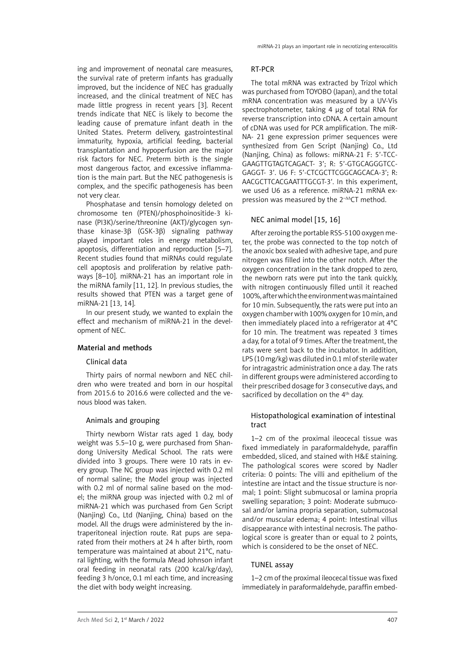ing and improvement of neonatal care measures, the survival rate of preterm infants has gradually improved, but the incidence of NEC has gradually increased, and the clinical treatment of NEC has made little progress in recent years [3]. Recent trends indicate that NEC is likely to become the leading cause of premature infant death in the United States. Preterm delivery, gastrointestinal immaturity, hypoxia, artificial feeding, bacterial transplantation and hypoperfusion are the major risk factors for NEC. Preterm birth is the single most dangerous factor, and excessive inflammation is the main part. But the NEC pathogenesis is complex, and the specific pathogenesis has been not very clear.

Phosphatase and tensin homology deleted on chromosome ten (PTEN)/phosphoinositide-3 kinase (PI3K)/serine/threonine (AKT)/glycogen synthase kinase-3β (GSK-3β) signaling pathway played important roles in energy metabolism, apoptosis, differentiation and reproduction [5–7]. Recent studies found that miRNAs could regulate cell apoptosis and proliferation by relative pathways [8–10]. miRNA-21 has an important role in the miRNA family [11, 12]. In previous studies, the results showed that PTEN was a target gene of miRNA-21 [13, 14].

In our present study, we wanted to explain the effect and mechanism of miRNA-21 in the development of NEC.

## Material and methods

## Clinical data

Thirty pairs of normal newborn and NEC children who were treated and born in our hospital from 2015.6 to 2016.6 were collected and the venous blood was taken.

## Animals and grouping

Thirty newborn Wistar rats aged 1 day, body weight was 5.5–10 g, were purchased from Shandong University Medical School. The rats were divided into 3 groups. There were 10 rats in every group. The NC group was injected with 0.2 ml of normal saline; the Model group was injected with 0.2 ml of normal saline based on the model; the miRNA group was injected with 0.2 ml of miRNA-21 which was purchased from Gen Script (Nanjing) Co., Ltd (Nanjing, China) based on the model. All the drugs were administered by the intraperitoneal injection route. Rat pups are separated from their mothers at 24 h after birth, room temperature was maintained at about 21°C, natural lighting, with the formula Mead Johnson infant oral feeding in neonatal rats (200 kcal/kg/day), feeding 3 h/once, 0.1 ml each time, and increasing the diet with body weight increasing.

## RT-PCR

The total mRNA was extracted by Trizol which was purchased from TOYOBO (Japan), and the total mRNA concentration was measured by a UV-Vis spectrophotometer, taking 4 μg of total RNA for reverse transcription into cDNA. A certain amount of cDNA was used for PCR amplification. The miR-NA- 21 gene expression primer sequences were synthesized from Gen Script (Nanjing) Co., Ltd (Nanjing, China) as follows: miRNA-21 F: 5'-TCC-GAAGTTGTAGTCAGACT- 3'; R: 5'-GTGCAGGGTCC-GAGGT- 3'. U6 F: 5'-CTCGCTTCGGCAGCACA-3'; R: AACGCTTCACGAATTTGCGT-3'. In this experiment, we used U6 as a reference. miRNA-21 mRNA expression was measured by the 2<sup>-ΔΔ</sup>CT method.

## NEC animal model [15, 16]

After zeroing the portable RSS-5100 oxygen meter, the probe was connected to the top notch of the anoxic box sealed with adhesive tape, and pure nitrogen was filled into the other notch. After the oxygen concentration in the tank dropped to zero, the newborn rats were put into the tank quickly, with nitrogen continuously filled until it reached 100%, after which the environment was maintained for 10 min. Subsequently, the rats were put into an oxygen chamber with 100% oxygen for 10 min, and then immediately placed into a refrigerator at 4°C for 10 min. The treatment was repeated 3 times a day, for a total of 9 times. After the treatment, the rats were sent back to the incubator. In addition, LPS (10 mg/kg) was diluted in 0.1 ml of sterile water for intragastric administration once a day. The rats in different groups were administered according to their prescribed dosage for 3 consecutive days, and sacrificed by decollation on the 4<sup>th</sup> day.

# Histopathological examination of intestinal tract

1–2 cm of the proximal ileocecal tissue was fixed immediately in paraformaldehyde, paraffin embedded, sliced, and stained with H&E staining. The pathological scores were scored by Nadler criteria: 0 points: The villi and epithelium of the intestine are intact and the tissue structure is normal; 1 point: Slight submucosal or lamina propria swelling separation; 3 point: Moderate submucosal and/or lamina propria separation, submucosal and/or muscular edema; 4 point: Intestinal villus disappearance with intestinal necrosis. The pathological score is greater than or equal to 2 points, which is considered to be the onset of NEC.

## TUNEL assay

1–2 cm of the proximal ileocecal tissue was fixed immediately in paraformaldehyde, paraffin embed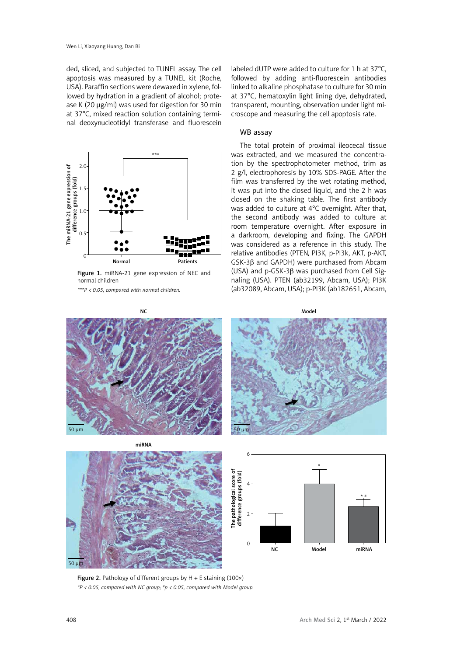ded, sliced, and subjected to TUNEL assay. The cell apoptosis was measured by a TUNEL kit (Roche, USA). Paraffin sections were dewaxed in xylene, followed by hydration in a gradient of alcohol; protease K (20 μg/ml) was used for digestion for 30 min at 37°C, mixed reaction solution containing terminal deoxynucleotidyl transferase and fluorescein



Figure 1. miRNA-21 gene expression of NEC and normal children

*\*\*\*P < 0.05, compared with normal children.*

labeled dUTP were added to culture for 1 h at 37°C, followed by adding anti-fluorescein antibodies linked to alkaline phosphatase to culture for 30 min at 37°C, hematoxylin light lining dye, dehydrated, transparent, mounting, observation under light microscope and measuring the cell apoptosis rate.

#### WB assay

The total protein of proximal ileocecal tissue was extracted, and we measured the concentration by the spectrophotometer method, trim as 2 g/l, electrophoresis by 10% SDS-PAGE. After the film was transferred by the wet rotating method, it was put into the closed liquid, and the 2 h was closed on the shaking table. The first antibody was added to culture at 4°C overnight. After that, the second antibody was added to culture at room temperature overnight. After exposure in a darkroom, developing and fixing. The GAPDH was considered as a reference in this study. The relative antibodies (PTEN, PI3K, p-PI3k, AKT, p-AKT, GSK-3β and GAPDH) were purchased from Abcam (USA) and p-GSK-3β was purchased from Cell Signaling (USA). PTEN (ab32199, Abcam, USA); PI3K (ab32089, Abcam, USA); p-PI3K (ab182651, Abcam,



**Figure 2.** Pathology of different groups by  $H + E$  staining (100 $\times$ ) *\*P < 0.05, compared with NC group; #p < 0.05, compared with Model group.*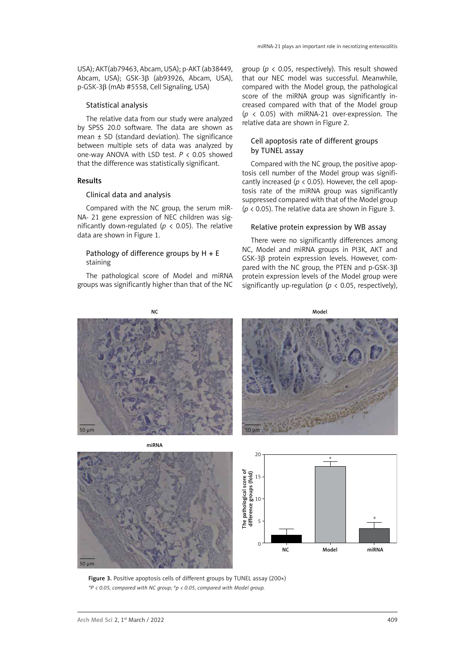USA); AKT(ab79463, Abcam, USA); p-AKT (ab38449, Abcam, USA); GSK-3β (ab93926, Abcam, USA), p-GSK-3β (mAb #5558, Cell Signaling, USA)

#### Statistical analysis

The relative data from our study were analyzed by SPSS 20.0 software. The data are shown as mean  $\pm$  SD (standard deviation). The significance between multiple sets of data was analyzed by one-way ANOVA with LSD test. *P* < 0.05 showed that the difference was statistically significant.

# Results

## Clinical data and analysis

Compared with the NC group, the serum miR-NA- 21 gene expression of NEC children was significantly down-regulated ( $p < 0.05$ ). The relative data are shown in Figure 1.

# Pathology of difference groups by  $H + E$ staining

The pathological score of Model and miRNA groups was significantly higher than that of the NC

group (*p* < 0.05, respectively). This result showed that our NEC model was successful. Meanwhile, compared with the Model group, the pathological score of the miRNA group was significantly increased compared with that of the Model group (*p* < 0.05) with miRNA-21 over-expression. The relative data are shown in Figure 2.

# Cell apoptosis rate of different groups by TUNEL assay

Compared with the NC group, the positive apoptosis cell number of the Model group was significantly increased ( $p < 0.05$ ). However, the cell apoptosis rate of the miRNA group was significantly suppressed compared with that of the Model group (*p* < 0.05). The relative data are shown in Figure 3.

#### Relative protein expression by WB assay

There were no significantly differences among NC, Model and miRNA groups in PI3K, AKT and GSK-3β protein expression levels. However, compared with the NC group, the PTEN and p-GSK-3β protein expression levels of the Model group were significantly up-regulation ( $p < 0.05$ , respectively),







Figure 3. Positive apoptosis cells of different groups by TUNEL assay (200×)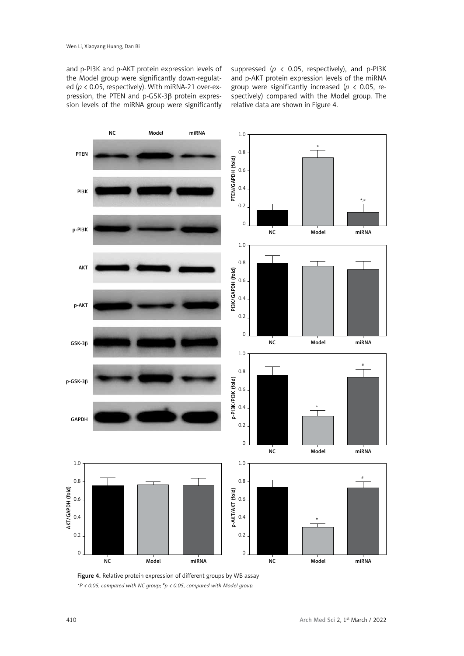and p-PI3K and p-AKT protein expression levels of the Model group were significantly down-regulated (*p* < 0.05, respectively). With miRNA-21 over-expression, the PTEN and p-GSK-3β protein expression levels of the miRNA group were significantly

suppressed ( $p \lt 0.05$ , respectively), and p-PI3K and p-AKT protein expression levels of the miRNA group were significantly increased (*p* < 0.05, respectively) compared with the Model group. The relative data are shown in Figure 4.



Figure 4. Relative protein expression of different groups by WB assay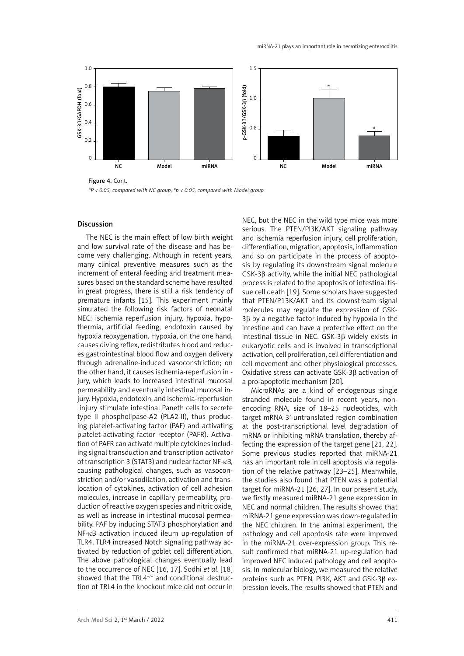

Figure 4. Cont.

# Discussion

The NEC is the main effect of low birth weight and low survival rate of the disease and has become very challenging. Although in recent years, many clinical preventive measures such as the increment of enteral feeding and treatment measures based on the standard scheme have resulted in great progress, there is still a risk tendency of premature infants [15]. This experiment mainly simulated the following risk factors of neonatal NEC: ischemia reperfusion injury, hypoxia, hypothermia, artificial feeding, endotoxin caused by hypoxia reoxygenation. Hypoxia, on the one hand, causes diving reflex, redistributes blood and reduces gastrointestinal blood flow and oxygen delivery through adrenaline-induced vasoconstriction; on the other hand, it causes ischemia-reperfusion in jury, which leads to increased intestinal mucosal permeability and eventually intestinal mucosal injury. Hypoxia, endotoxin, and ischemia-reperfusion injury stimulate intestinal Paneth cells to secrete type II phospholipase-A2 (PLA2-II), thus producing platelet-activating factor (PAF) and activating platelet-activating factor receptor (PAFR). Activation of PAFR can activate multiple cytokines including signal transduction and transcription activator of transcription 3 (STAT3) and nuclear factor NF-κB, causing pathological changes, such as vasoconstriction and/or vasodilation, activation and translocation of cytokines, activation of cell adhesion molecules, increase in capillary permeability, production of reactive oxygen species and nitric oxide, as well as increase in intestinal mucosal permeability. PAF by inducing STAT3 phosphorylation and NF-κB activation induced ileum up-regulation of TLR4. TLR4 increased Notch signaling pathway activated by reduction of goblet cell differentiation. The above pathological changes eventually lead to the occurrence of NEC [16, 17]. Sodhi *et al*. [18] showed that the TRL4<sup>-/-</sup> and conditional destruction of TRL4 in the knockout mice did not occur in

NEC, but the NEC in the wild type mice was more serious. The PTEN/PI3K/AKT signaling pathway and ischemia reperfusion injury, cell proliferation, differentiation, migration, apoptosis, inflammation and so on participate in the process of apoptosis by regulating its downstream signal molecule GSK-3β activity, while the initial NEC pathological process is related to the apoptosis of intestinal tissue cell death [19]. Some scholars have suggested that PTEN/P13K/AKT and its downstream signal molecules may regulate the expression of GSK-3β by a negative factor induced by hypoxia in the intestine and can have a protective effect on the intestinal tissue in NEC. GSK-3β widely exists in eukaryotic cells and is involved in transcriptional activation, cell proliferation, cell differentiation and cell movement and other physiological processes. Oxidative stress can activate GSK-3β activation of a pro-apoptotic mechanism [20].

MicroRNAs are a kind of endogenous single stranded molecule found in recent years, nonencoding RNA, size of 18–25 nucleotides, with target mRNA 3'-untranslated region combination at the post-transcriptional level degradation of mRNA or inhibiting mRNA translation, thereby affecting the expression of the target gene [21, 22]. Some previous studies reported that miRNA-21 has an important role in cell apoptosis via regulation of the relative pathway [23–25]. Meanwhile, the studies also found that PTEN was a potential target for miRNA-21 [26, 27]. In our present study, we firstly measured miRNA-21 gene expression in NEC and normal children. The results showed that miRNA-21 gene expression was down-regulated in the NEC children. In the animal experiment, the pathology and cell apoptosis rate were improved in the miRNA-21 over-expression group. This result confirmed that miRNA-21 up-regulation had improved NEC induced pathology and cell apoptosis. In molecular biology, we measured the relative proteins such as PTEN, PI3K, AKT and GSK-3β expression levels. The results showed that PTEN and